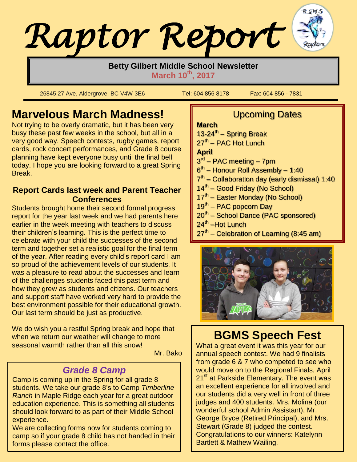# *Raptor Report*

#### **Betty Gilbert Middle School Newsletter March 10th , 2017**

26845 27 Ave, Aldergrove, BC V4W 3E6 Tel: 604 856 8178 Fax: 604 856 - 7831

 $\lfloor$ 

# **Marvelous March Madness!**

Not trying to be overly dramatic, but it has been very busy these past few weeks in the school, but all in a very good way. Speech contests, rugby games, report cards, rock concert performances, and Grade 8 course planning have kept everyone busy until the final bell today. I hope you are looking forward to a great Spring Break.

#### **Report Cards last week and Parent Teacher Conferences**

Students brought home their second formal progress report for the year last week and we had parents here earlier in the week meeting with teachers to discuss their children's learning. This is the perfect time to celebrate with your child the successes of the second term and together set a realistic goal for the final term of the year. After reading every child's report card I am so proud of the achievement levels of our students. It was a pleasure to read about the successes and learn of the challenges students faced this past term and how they grew as students and citizens. Our teachers and support staff have worked very hard to provide the best environment possible for their educational growth. Our last term should be just as productive.

We do wish you a restful Spring break and hope that when we return our weather will change to more seasonal warmth rather than all this snow!

Mr. Bako

#### *Grade 8 Camp*

Camp is coming up in the Spring for all grade 8 students. We take our grade 8's to Camp *Timberline Ranch* in Maple Ridge each year for a great outdoor education experience. This is something all students should look forward to as part of their Middle School experience.

We are collecting forms now for students coming to camp so if your grade 8 child has not handed in their forms please contact the office.

# Upcoming Dates

#### **March**

13-24<sup>th</sup> – Spring Break

27<sup>th</sup> – PAC Hot Lunch

#### **April**

- 3<sup>rd</sup> PAC meeting 7pm
- 6<sup>th</sup> Honour Roll Assembly 1:40
- 7<sup>th</sup> Collaboration day (early dismissal) 1:40
- 14<sup>th</sup> Good Friday (No School)
- 17<sup>th</sup> Easter Monday (No School)
- 19<sup>th</sup> PAC popcorn Day
- 20<sup>th</sup> School Dance (PAC sponsored)
- 24<sup>th</sup> –Hot Lunch
- 27<sup>th</sup> Celebration of Learning (8:45 am)



# **BGMS Speech Fest**

What a great event it was this year for our annual speech contest. We had 9 finalists from grade 6 & 7 who competed to see who would move on to the Regional Finals, April 21<sup>st</sup> at Parkside Elementary. The event was an excellent experience for all involved and our students did a very well in front of three judges and 400 students. Mrs. Molina (our wonderful school Admin Assistant), Mr. George Bryce (Retired Principal), and Mrs. Stewart (Grade 8) judged the contest. Congratulations to our winners: Katelynn Bartlett & Mathew Wailing.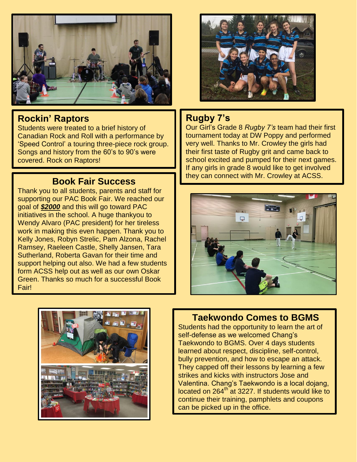

#### **Rockin' Raptors**

Students were treated to a brief history of Canadian Rock and Roll with a performance by 'Speed Control' a touring three-piece rock group. Songs and history from the 60's to 90's were covered. Rock on Raptors!

Thank you to all students, parents and staff for supporting our PAC Book Fair. We reached our goal of *\$2000* and this will go toward PAC initiatives in the school. A huge thankyou to Wendy Alvaro (PAC president) for her tireless work in making this even happen. Thank you to Kelly Jones, Robyn Strelic, Pam Alzona, Rachel Ramsey, Raeleen Castle, Shelly Jansen, Tara Sutherland, Roberta Gavan for their time and support helping out also. We had a few students form ACSS help out as well as our own Oskar Green. Thanks so much for a successful Book Fair!



#### **Rugby 7's**

Our Girl's Grade 8 *Rugby 7's* team had their first tournament today at DW Poppy and performed very well. Thanks to Mr. Crowley the girls had their first taste of Rugby grit and came back to school excited and pumped for their next games. If any girls in grade 8 would like to get involved **Book Fair Success Book Fair Success Book Fair Success Book Fair Success Book Fair Success Book E** 





#### **Taekwondo Comes to BGMS**

Students had the opportunity to learn the art of self-defense as we welcomed Chang's Taekwondo to BGMS. Over 4 days students learned about respect, discipline, self-control, bully prevention, and how to escape an attack. They capped off their lessons by learning a few strikes and kicks with instructors Jose and Valentina. Chang's Taekwondo is a local dojang, located on 264<sup>th</sup> at 3227. If students would like to continue their training, pamphlets and coupons can be picked up in the office.